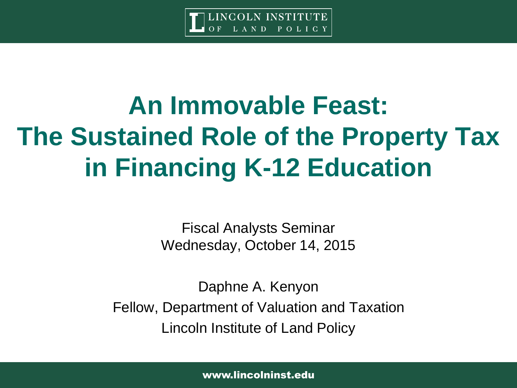

# **An Immovable Feast: The Sustained Role of the Property Tax in Financing K-12 Education**

Fiscal Analysts Seminar Wednesday, October 14, 2015

Daphne A. Kenyon Fellow, Department of Valuation and Taxation Lincoln Institute of Land Policy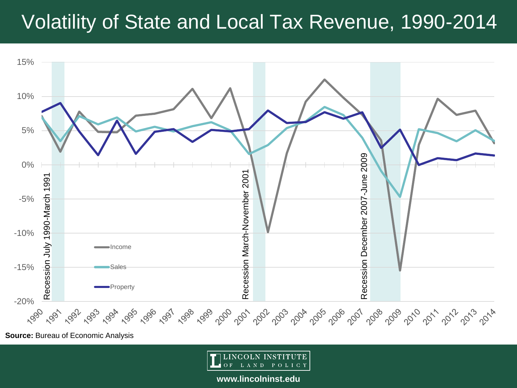# Volatility of State and Local Tax Revenue, 1990-2014



**Source: Bureau of Economic Analysis** 

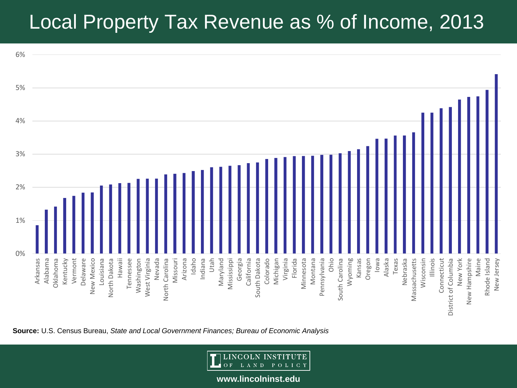# Local Property Tax Revenue as % of Income, 2013



**Source:** U.S. Census Bureau, *State and Local Government Finances; Bureau of Economic Analysis*

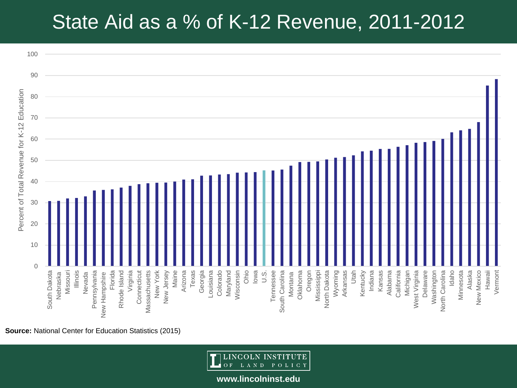# State Aid as a % of K-12 Revenue, 2011-2012



**Source:** National Center for Education Statistics (2015)

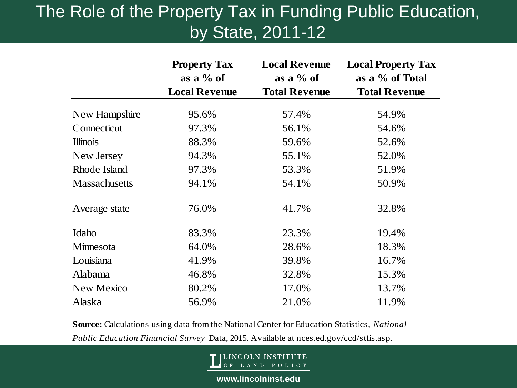#### The Role of the Property Tax in Funding Public Education, by State, 2011-12

|                      | <b>Property Tax</b><br>as a $\%$ of<br><b>Local Revenue</b> | <b>Local Revenue</b><br>as a $\%$ of<br><b>Total Revenue</b> | <b>Local Property Tax</b><br>as a % of Total<br><b>Total Revenue</b> |  |
|----------------------|-------------------------------------------------------------|--------------------------------------------------------------|----------------------------------------------------------------------|--|
|                      |                                                             |                                                              |                                                                      |  |
| New Hampshire        | 95.6%                                                       | 57.4%                                                        | 54.9%                                                                |  |
| Connecticut          | 97.3%                                                       | 56.1%                                                        | 54.6%                                                                |  |
| <b>Illinois</b>      | 88.3%                                                       | 59.6%                                                        | 52.6%                                                                |  |
| New Jersey           | 94.3%                                                       | 55.1%                                                        | 52.0%                                                                |  |
| Rhode Island         | 97.3%                                                       | 53.3%                                                        | 51.9%                                                                |  |
| <b>Massachusetts</b> | 94.1%                                                       | 54.1%                                                        | 50.9%                                                                |  |
| Average state        | 76.0%                                                       | 41.7%                                                        | 32.8%                                                                |  |
| Idaho                | 83.3%                                                       | 23.3%                                                        | 19.4%                                                                |  |
| Minnesota            | 64.0%                                                       | 28.6%                                                        | 18.3%                                                                |  |
| Louisiana            | 41.9%                                                       | 39.8%                                                        | 16.7%                                                                |  |
| Alabama              | 46.8%                                                       | 32.8%                                                        | 15.3%                                                                |  |
| New Mexico           | 80.2%                                                       | 17.0%                                                        | 13.7%                                                                |  |
| Alaska               | 56.9%                                                       | 21.0%                                                        | 11.9%                                                                |  |

**Source:** Calculations using data from the National Center for Education Statistics, *National Public Education Financial Survey* Data, 2015. Available at nces.ed.gov/ccd/stfis.asp.

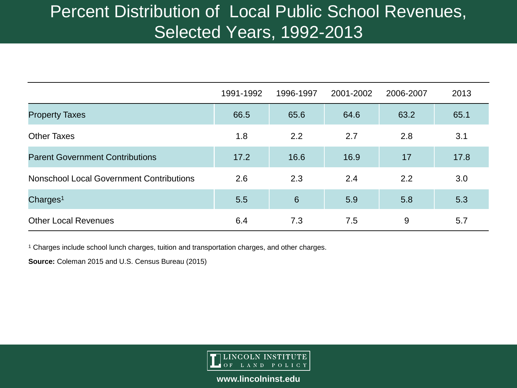#### Percent Distribution of Local Public School Revenues, Selected Years, 1992-2013

|                                                 | 1991-1992 | 1996-1997       | 2001-2002 | 2006-2007 | 2013 |
|-------------------------------------------------|-----------|-----------------|-----------|-----------|------|
| <b>Property Taxes</b>                           | 66.5      | 65.6            | 64.6      | 63.2      | 65.1 |
| <b>Other Taxes</b>                              | 1.8       | 2.2             | 2.7       | 2.8       | 3.1  |
| <b>Parent Government Contributions</b>          | 17.2      | 16.6            | 16.9      | 17        | 17.8 |
| <b>Nonschool Local Government Contributions</b> | 2.6       | 2.3             | 2.4       | 2.2       | 3.0  |
| Charges <sup>1</sup>                            | 5.5       | $6\phantom{1}6$ | 5.9       | 5.8       | 5.3  |
| <b>Other Local Revenues</b>                     | 6.4       | 7.3             | 7.5       | 9         | 5.7  |

<sup>1</sup> Charges include school lunch charges, tuition and transportation charges, and other charges.

**Source:** Coleman 2015 and U.S. Census Bureau (2015)

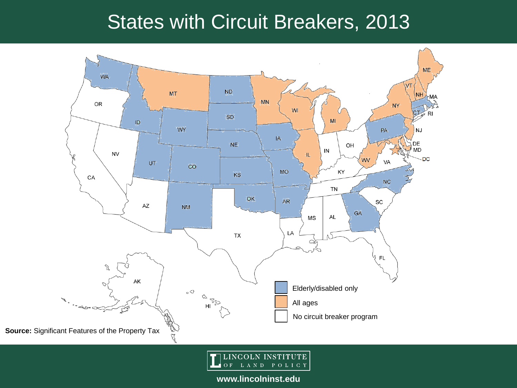# States with Circuit Breakers, 2013



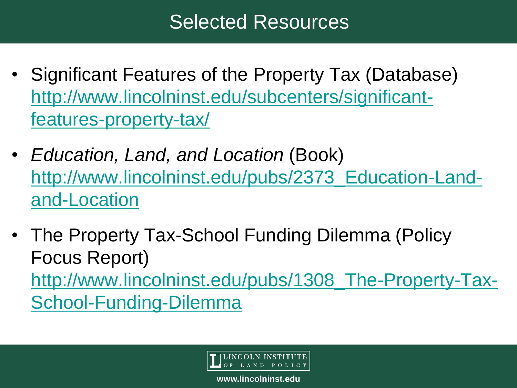# Selected Resources

- Significant Features of the Property Tax (Database) [http://www.lincolninst.edu/subcenters/significant](http://www.lincolninst.edu/subcenters/significant-features-property-tax/)features-property-tax/
- *Education, Land, and Location* (Book) [http://www.lincolninst.edu/pubs/2373\\_Education-Land](http://www.lincolninst.edu/pubs/2373_Education-Land-and-Location)and-Location
- The Property Tax-School Funding Dilemma (Policy Focus Report) [http://www.lincolninst.edu/pubs/1308\\_The-Property-Tax-](http://www.lincolninst.edu/pubs/1308_The-Property-Tax-School-Funding-Dilemma)School-Funding-Dilemma